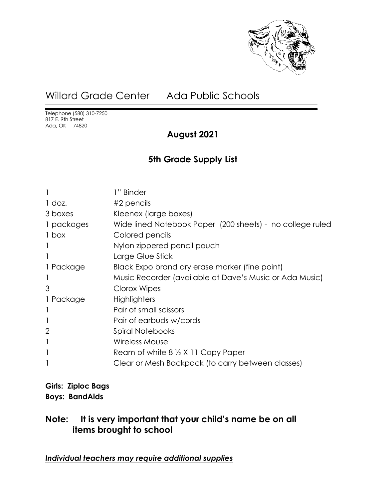

# Willard Grade Center Ada Public Schools

Telephone (580) 310-7250 817 E. 9th Street Ada, OK 74820

### **August 2021**

### **5th Grade Supply List**

|                | 1" Binder                                                 |
|----------------|-----------------------------------------------------------|
| $1$ doz.       | $#2$ pencils                                              |
| 3 boxes        | Kleenex (large boxes)                                     |
| 1 packages     | Wide lined Notebook Paper (200 sheets) - no college ruled |
| 1 box          | Colored pencils                                           |
|                | Nylon zippered pencil pouch                               |
|                | Large Glue Stick                                          |
| 1 Package      | Black Expo brand dry erase marker (fine point)            |
|                | Music Recorder (available at Dave's Music or Ada Music)   |
| 3              | Clorox Wipes                                              |
| 1 Package      | Highlighters                                              |
|                | Pair of small scissors                                    |
|                | Pair of earbuds w/cords                                   |
| $\overline{2}$ | Spiral Notebooks                                          |
|                | <b>Wireless Mouse</b>                                     |
|                | Ream of white $8\frac{1}{2}$ X 11 Copy Paper              |
|                | Clear or Mesh Backpack (to carry between classes)         |
|                |                                                           |

**Girls: Ziploc Bags Boys: BandAids**

### **Note: It is very important that your child's name be on all items brought to school**

*Individual teachers may require additional supplies*